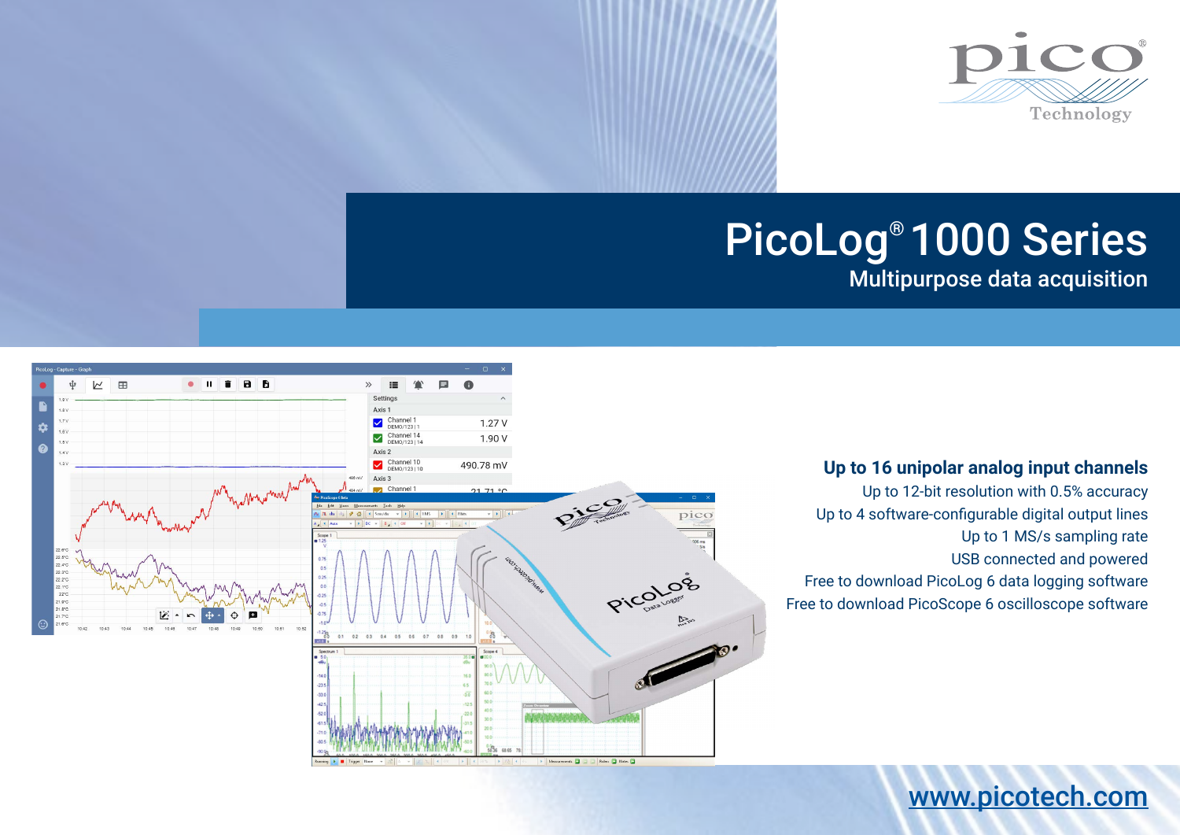

# PicoLog® 1000 Series

Multipurpose data acquisition



# **Up to 16 unipolar analog input channels**

[www.picotech.com](http://www.picotech.com)

Up to 12-bit resolution with 0.5% accuracy Up to 4 software-configurable digital output lines Up to 1 MS/s sampling rate USB connected and powered Free to download PicoLog 6 data logging software Free to download PicoScope 6 oscilloscope software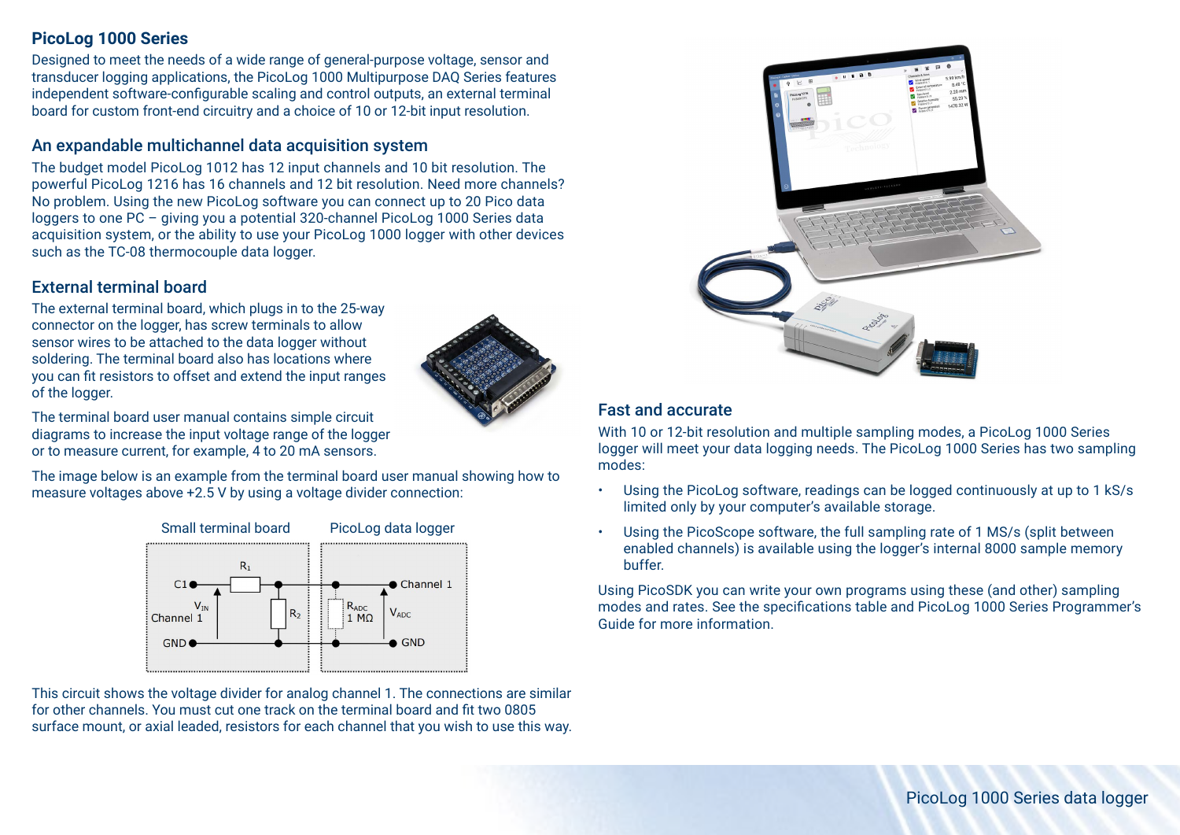#### **PicoLog 1000 Series**

Designed to meet the needs of a wide range of general-purpose voltage, sensor and transducer logging applications, the PicoLog 1000 Multipurpose DAQ Series features independent software-configurable scaling and control outputs, an external terminal board for custom front-end circuitry and a choice of 10 or 12-bit input resolution.

### An expandable multichannel data acquisition system

The budget model PicoLog 1012 has 12 input channels and 10 bit resolution. The powerful PicoLog 1216 has 16 channels and 12 bit resolution. Need more channels? No problem. Using the new PicoLog software you can connect up to 20 Pico data loggers to one PC – giving you a potential 320-channel PicoLog 1000 Series data acquisition system, or the ability to use your PicoLog 1000 logger with other devices such as the TC-08 thermocouple data logger.

# External terminal board

The external terminal board, which plugs in to the 25-way connector on the logger, has screw terminals to allow sensor wires to be attached to the data logger without soldering. The terminal board also has locations where you can fit resistors to offset and extend the input ranges of the logger.

The terminal board user manual contains simple circuit diagrams to increase the input voltage range of the logger or to measure current, for example, 4 to 20 mA sensors.

The image below is an example from the terminal board user manual showing how to measure voltages above +2.5 V by using a voltage divider connection:



This circuit shows the voltage divider for analog channel 1. The connections are similar for other channels. You must cut one track on the terminal board and fit two 0805 surface mount, or axial leaded, resistors for each channel that you wish to use this way.



# Fast and accurate

With 10 or 12-bit resolution and multiple sampling modes, a PicoLog 1000 Series logger will meet your data logging needs. The PicoLog 1000 Series has two sampling modes:

- Using the PicoLog software, readings can be logged continuously at up to 1 kS/s limited only by your computer's available storage.
- Using the PicoScope software, the full sampling rate of 1 MS/s (split between enabled channels) is available using the logger's internal 8000 sample memory buffer.

Using PicoSDK you can write your own programs using these (and other) sampling modes and rates. See the specifications table and PicoLog 1000 Series Programmer's Guide for more information.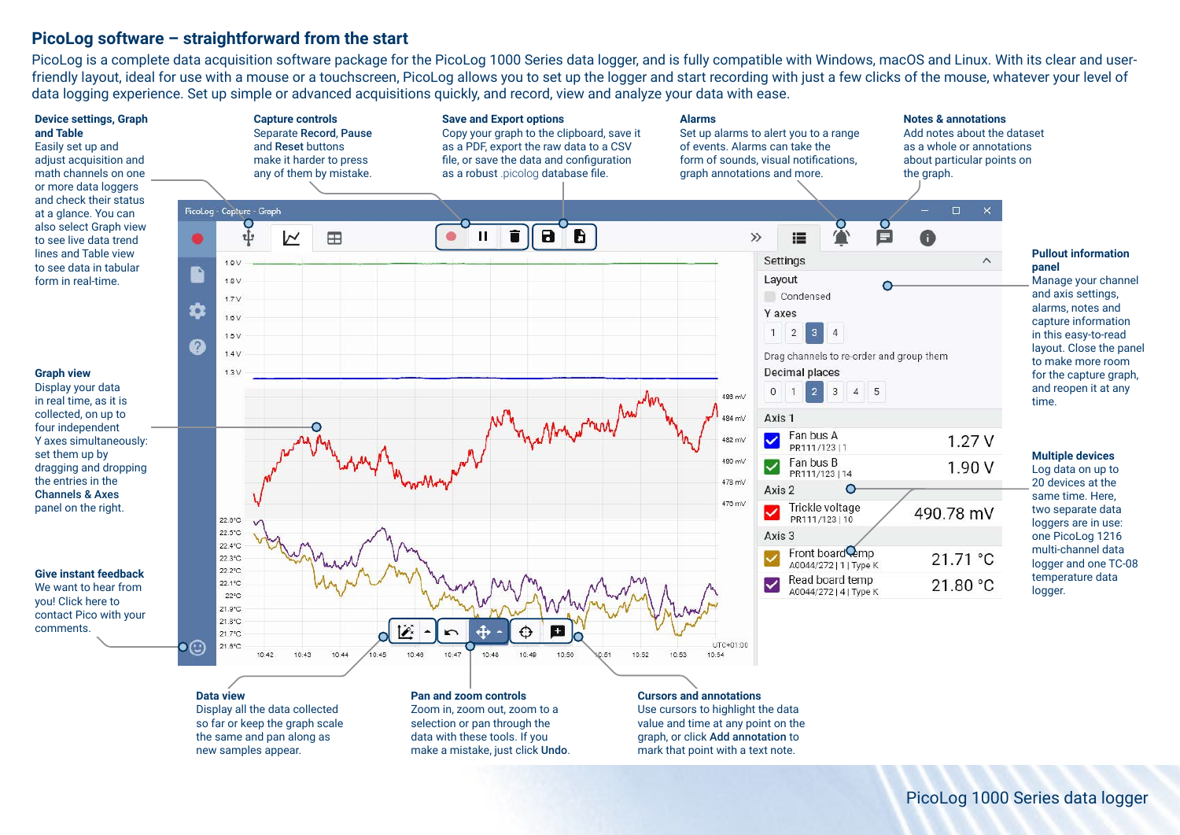#### **PicoLog software – straightforward from the start**

PicoLog is a complete data acquisition software package for the PicoLog 1000 Series data logger, and is fully compatible with Windows, macOS and Linux. With its clear and userfriendly layout, ideal for use with a mouse or a touchscreen, PicoLog allows you to set up the logger and start recording with just a few clicks of the mouse, whatever your level of data logging experience. Set up simple or advanced acquisitions quickly, and record, view and analyze your data with ease.



**Data view** Display all the data collected so far or keep the graph scale the same and pan along as new samples appear.

#### **Pan and zoom controls** Zoom in, zoom out, zoom to a selection or pan through the data with these tools. If you make a mistake, just click Undo.

#### **Cursors and annotations**

Use cursors to highlight the data value and time at any point on the graph, or click Add annotation to mark that point with a text note.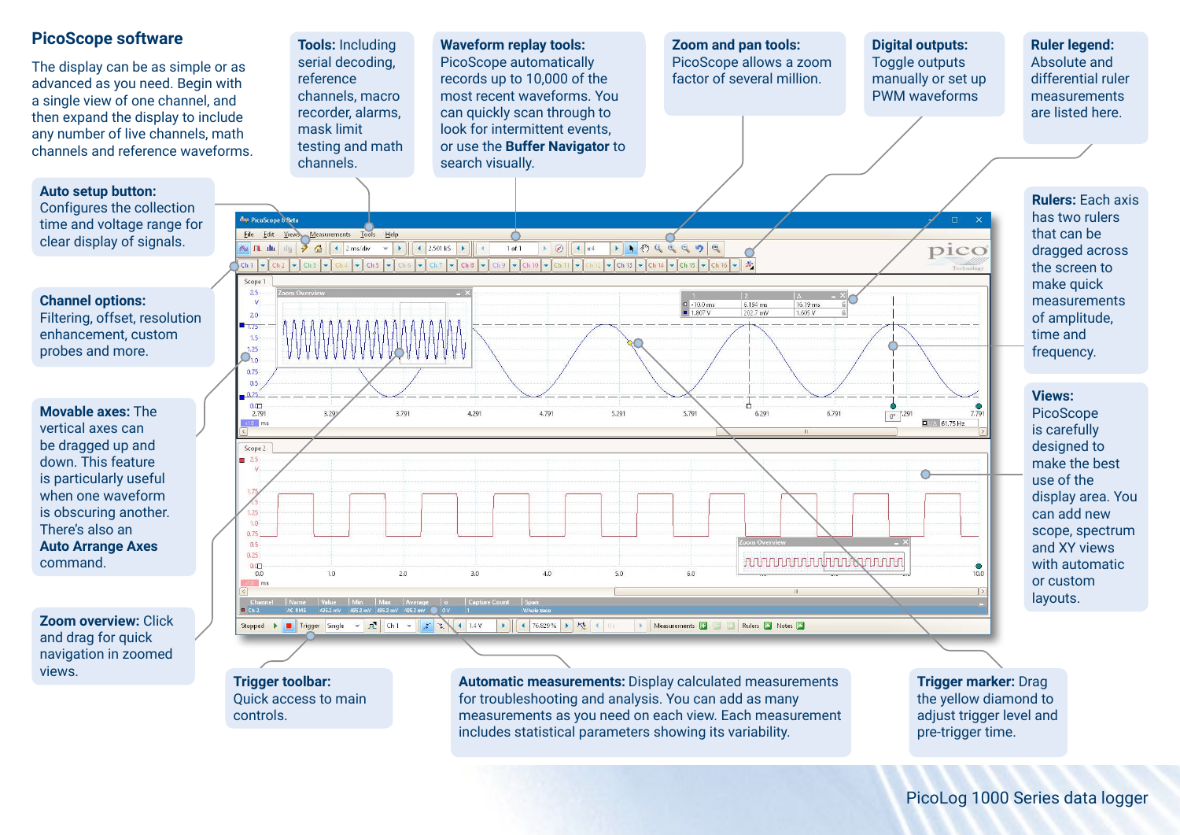

PicoLog 1000 Series data logger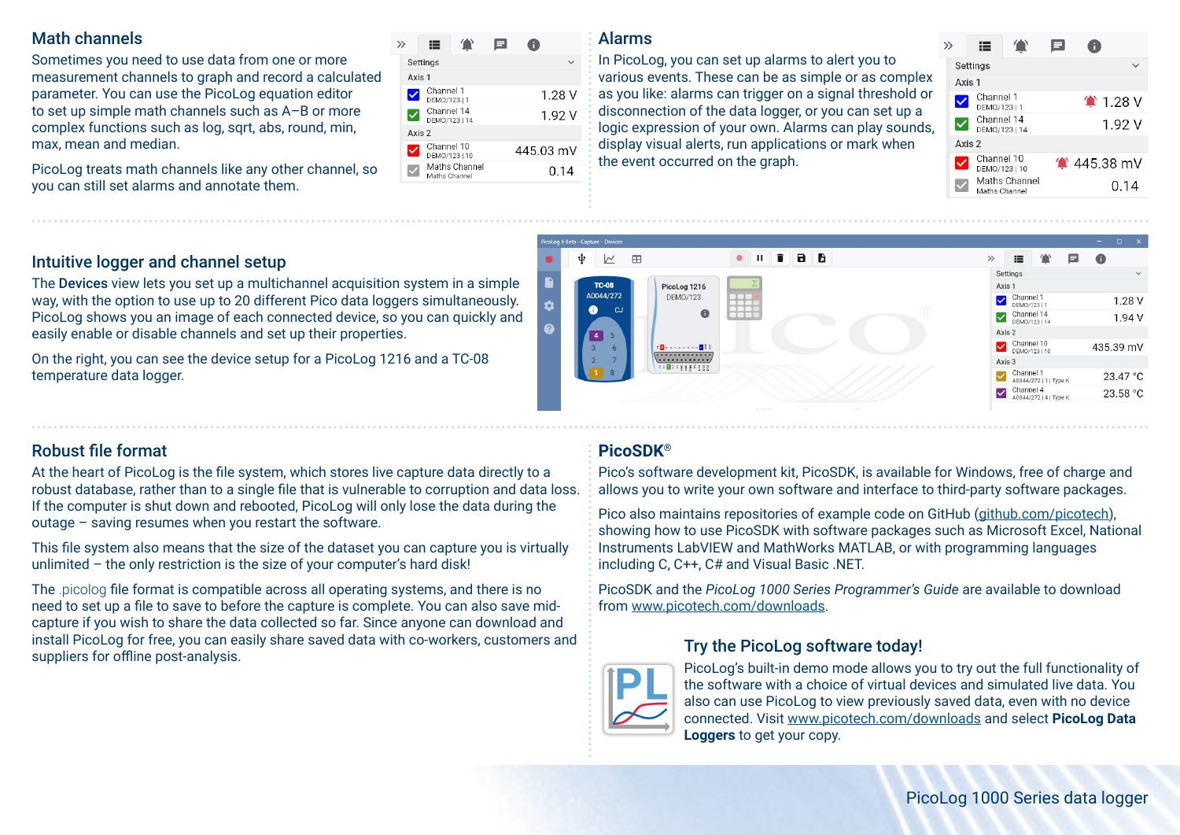### Math channels

Sometimes you need to use data from one or more measurement channels to graph and record a calculated parameter. You can use the PicoLog equation editor to set up simple math channels such as A–B or more complex functions such as log, sqrt, abs, round, min, max, mean and median.

PicoLog treats math channels like any other channel, so you can still set alarms and annotate them.

| ≔ |                              |                                                                                                                           |           |
|---|------------------------------|---------------------------------------------------------------------------------------------------------------------------|-----------|
|   |                              |                                                                                                                           |           |
|   |                              |                                                                                                                           |           |
|   |                              |                                                                                                                           | 1.28V     |
|   |                              |                                                                                                                           | 1.92 V    |
|   |                              |                                                                                                                           |           |
|   |                              |                                                                                                                           | 445.03 mV |
|   |                              |                                                                                                                           | 0.14      |
|   | Settings<br>Axis 1<br>Axis 2 | Channel 1<br>DEMO/123   1<br>Channel 14<br>DEMO/123   14<br>Channel 10<br>DEMO/123   10<br>Maths Channel<br>Maths Channel |           |

#### Alarms

 $\overline{M}$  $\mathbb{R}$ 

**TC-08** 

A0044/272

 $\bullet$  $\alpha$ 

ψ

 $\alpha$ 

In PicoLog, you can set up alarms to alert you to various events. These can be as simple or as complex as you like: alarms can trigger on a signal threshold or disconnection of the data logger, or you can set up a logic expression of your own. Alarms can play sounds, display visual alerts, run applications or mark when the event occurred on the graph.

 $\bullet$   $\blacksquare$ 

PicoLog 1216

DEMO/123

**B**ennessen Ris

. . . . . . . . . . . . .

 $\mathbf{r}$ 

BB

| ゝ | ⊫                           | 'n            |                   |
|---|-----------------------------|---------------|-------------------|
|   | Settings                    |               |                   |
|   | Axis 1                      |               |                   |
|   | Channel 1<br>DEMO/123   1   |               | $^{\circ}$ 1.28 V |
|   | Channel 14<br>DEMO/123   14 |               | 1.92 V            |
|   | Axis 2                      |               |                   |
|   | Channel 10<br>DEMO/123   10 |               | $*$ 445.38 mV     |
|   | Maths Channel               | Maths Channel | 0.14              |
|   |                             |               |                   |

 $\gg$  $\equiv$ 

Setting

Channel<sup>®</sup>  $\overline{\mathbf{v}}$ 

DEMO/1231

Channel 14

DEMO/12311/ Axis: Channel 10

DEMO/123110

A0044/272111Type K Channel 4

A0044/272141Type

Channel

 $\Delta$ xis

 $\mathbf{a}$ 

 $1.28V$ 

 $1.94V$ 

435.39 mV

23.47 °C

23.58 °C

E

### Intuitive logger and channel setup

The Devices view lets you set up a multichannel acquisition system in a simple way, with the option to use up to 20 different Pico data loggers simultaneously. PicoLog shows you an image of each connected device, so you can quickly and easily enable or disable channels and set up their properties.

On the right, you can see the device setup for a PicoLog 1216 and a TC-08 temperature data logger.

# Robust file format

At the heart of PicoLog is the file system, which stores live capture data directly to a robust database, rather than to a single file that is vulnerable to corruption and data loss. If the computer is shut down and rebooted, PicoLog will only lose the data during the outage – saving resumes when you restart the software.

This file system also means that the size of the dataset you can capture you is virtually unlimited – the only restriction is the size of your computer's hard disk!

The .picolog file format is compatible across all operating systems, and there is no need to set up a file to save to before the capture is complete. You can also save midcapture if you wish to share the data collected so far. Since anyone can download and install PicoLog for free, you can easily share saved data with co-workers, customers and suppliers for offline post-analysis.

# **PicoSDK®**

Pico's software development kit, PicoSDK, is available for Windows, free of charge and allows you to write your own software and interface to third-party software packages.

Pico also maintains repositories of example code on GitHub [\(github.com/picotech](https://github.com/picotech)), showing how to use PicoSDK with software packages such as Microsoft Excel, National Instruments LabVIEW and MathWorks MATLAB, or with programming languages including C, C++, C# and Visual Basic .NET.

PicoSDK and the *PicoLog 1000 Series Programmer's Guide* are available to download from [www.picotech.com/downloads](http://www.picotech.com/downloads).

## Try the PicoLog software today!



PicoLog's built-in demo mode allows you to try out the full functionality of the software with a choice of virtual devices and simulated live data. You also can use PicoLog to view previously saved data, even with no device connected. Visit [www.picotech.com/downloads](http://www.picotech.com/downloads) and select **PicoLog Data Loggers** to get your copy.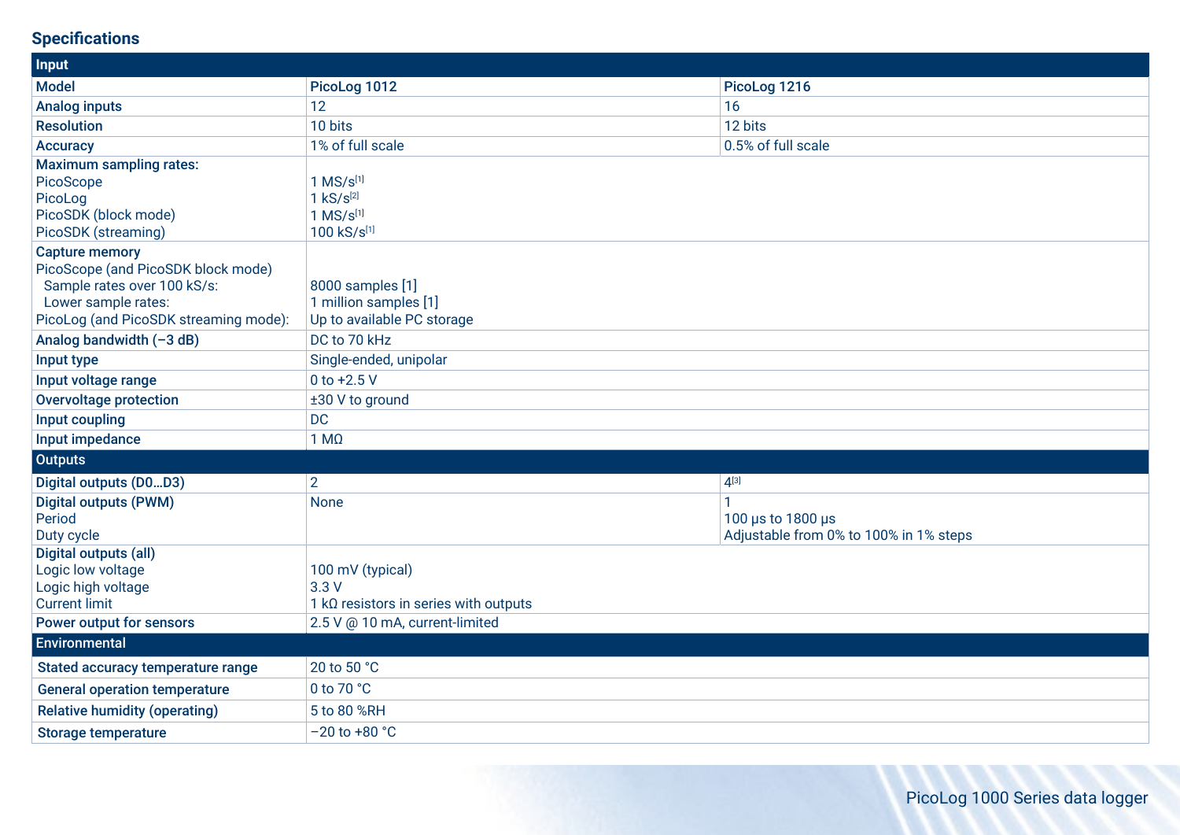# **Specifications**

| Input                                                                                                                                                      |                                                                                 |                                                             |
|------------------------------------------------------------------------------------------------------------------------------------------------------------|---------------------------------------------------------------------------------|-------------------------------------------------------------|
| <b>Model</b>                                                                                                                                               | PicoLog 1012                                                                    | PicoLog 1216                                                |
| <b>Analog inputs</b>                                                                                                                                       | 12                                                                              | 16                                                          |
| <b>Resolution</b>                                                                                                                                          | 10 bits                                                                         | 12 bits                                                     |
| <b>Accuracy</b>                                                                                                                                            | 1% of full scale                                                                | 0.5% of full scale                                          |
| <b>Maximum sampling rates:</b><br>PicoScope<br>PicoLog<br>PicoSDK (block mode)<br>PicoSDK (streaming)                                                      | $1$ MS/ $s^{[1]}$<br>$1 \text{ kS/s}^{[2]}$<br>$1$ MS/ $s^{[1]}$<br>100 kS/s[1] |                                                             |
| <b>Capture memory</b><br>PicoScope (and PicoSDK block mode)<br>Sample rates over 100 kS/s:<br>Lower sample rates:<br>PicoLog (and PicoSDK streaming mode): | 8000 samples [1]<br>1 million samples [1]<br>Up to available PC storage         |                                                             |
| Analog bandwidth (-3 dB)                                                                                                                                   | DC to 70 kHz                                                                    |                                                             |
| Input type                                                                                                                                                 | Single-ended, unipolar                                                          |                                                             |
| Input voltage range                                                                                                                                        | 0 to $+2.5$ V                                                                   |                                                             |
| <b>Overvoltage protection</b>                                                                                                                              | ±30 V to ground                                                                 |                                                             |
| Input coupling                                                                                                                                             | <b>DC</b>                                                                       |                                                             |
| Input impedance                                                                                                                                            | $1 M\Omega$                                                                     |                                                             |
| <b>Outputs</b>                                                                                                                                             |                                                                                 |                                                             |
| Digital outputs (D0D3)                                                                                                                                     | $\overline{2}$                                                                  | $4^{[3]}$                                                   |
| <b>Digital outputs (PWM)</b><br>Period<br>Duty cycle                                                                                                       | <b>None</b>                                                                     | 100 µs to 1800 µs<br>Adjustable from 0% to 100% in 1% steps |
| Digital outputs (all)<br>Logic low voltage<br>Logic high voltage<br><b>Current limit</b>                                                                   | 100 mV (typical)<br>3.3V<br>1 $k\Omega$ resistors in series with outputs        |                                                             |
| <b>Power output for sensors</b>                                                                                                                            | 2.5 V @ 10 mA, current-limited                                                  |                                                             |
| <b>Environmental</b>                                                                                                                                       |                                                                                 |                                                             |
| Stated accuracy temperature range                                                                                                                          | 20 to 50 °C                                                                     |                                                             |
| <b>General operation temperature</b>                                                                                                                       | 0 to 70 °C                                                                      |                                                             |
| <b>Relative humidity (operating)</b>                                                                                                                       | 5 to 80 %RH                                                                     |                                                             |
| <b>Storage temperature</b>                                                                                                                                 | $-20$ to $+80$ °C                                                               |                                                             |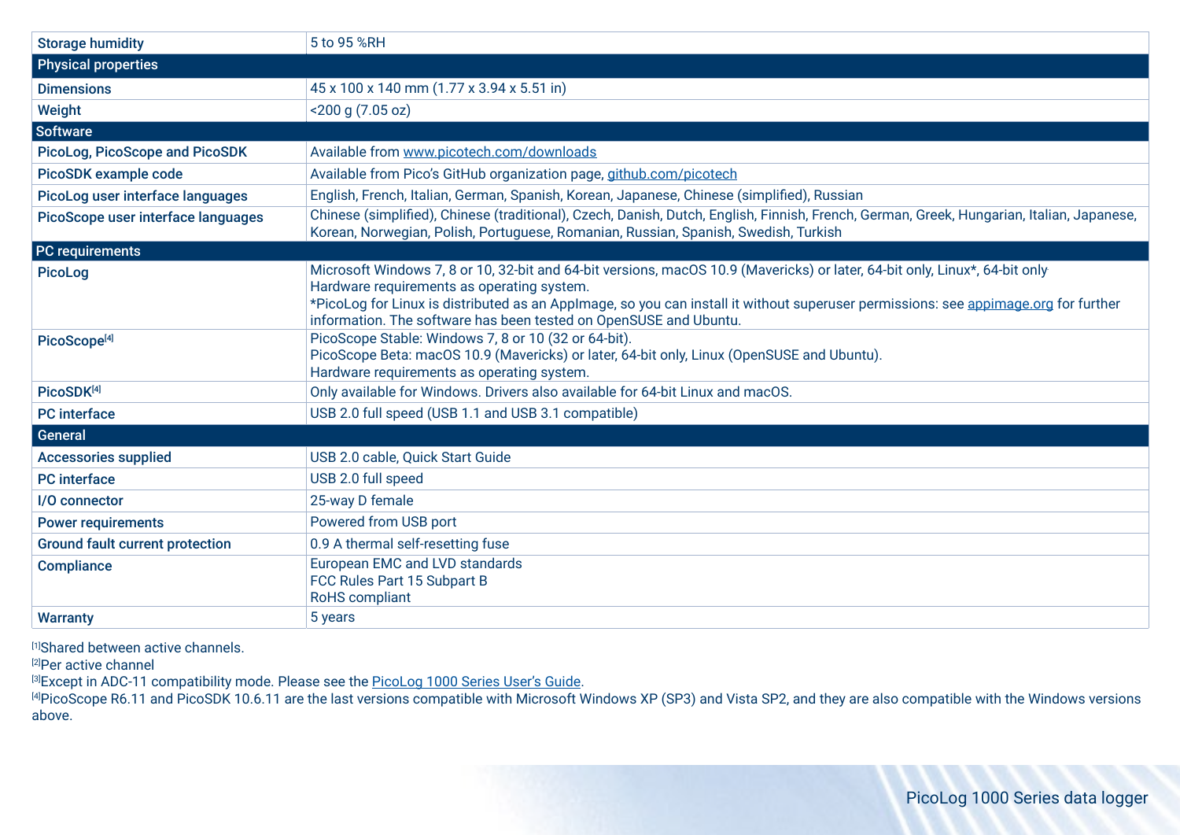| <b>Storage humidity</b>                | 5 to 95 %RH                                                                                                                                                                                                                                                                                                                                                                           |
|----------------------------------------|---------------------------------------------------------------------------------------------------------------------------------------------------------------------------------------------------------------------------------------------------------------------------------------------------------------------------------------------------------------------------------------|
| <b>Physical properties</b>             |                                                                                                                                                                                                                                                                                                                                                                                       |
| <b>Dimensions</b>                      | 45 x 100 x 140 mm (1.77 x 3.94 x 5.51 in)                                                                                                                                                                                                                                                                                                                                             |
| Weight                                 | <200 g (7.05 oz)                                                                                                                                                                                                                                                                                                                                                                      |
| <b>Software</b>                        |                                                                                                                                                                                                                                                                                                                                                                                       |
| <b>PicoLog, PicoScope and PicoSDK</b>  | Available from www.picotech.com/downloads                                                                                                                                                                                                                                                                                                                                             |
| PicoSDK example code                   | Available from Pico's GitHub organization page, github.com/picotech                                                                                                                                                                                                                                                                                                                   |
| PicoLog user interface languages       | English, French, Italian, German, Spanish, Korean, Japanese, Chinese (simplified), Russian                                                                                                                                                                                                                                                                                            |
| PicoScope user interface languages     | Chinese (simplified), Chinese (traditional), Czech, Danish, Dutch, English, Finnish, French, German, Greek, Hungarian, Italian, Japanese,<br>Korean, Norwegian, Polish, Portuguese, Romanian, Russian, Spanish, Swedish, Turkish                                                                                                                                                      |
| PC requirements                        |                                                                                                                                                                                                                                                                                                                                                                                       |
| <b>PicoLog</b>                         | Microsoft Windows 7, 8 or 10, 32-bit and 64-bit versions, macOS 10.9 (Mavericks) or later, 64-bit only, Linux*, 64-bit only<br>Hardware requirements as operating system.<br>*PicoLog for Linux is distributed as an Applmage, so you can install it without superuser permissions: see appimage.org for further<br>information. The software has been tested on OpenSUSE and Ubuntu. |
| PicoScope <sup>[4]</sup>               | PicoScope Stable: Windows 7, 8 or 10 (32 or 64-bit).<br>PicoScope Beta: macOS 10.9 (Mavericks) or later, 64-bit only, Linux (OpenSUSE and Ubuntu).<br>Hardware requirements as operating system.                                                                                                                                                                                      |
| PicoSDK[4]                             | Only available for Windows. Drivers also available for 64-bit Linux and macOS.                                                                                                                                                                                                                                                                                                        |
| <b>PC</b> interface                    | USB 2.0 full speed (USB 1.1 and USB 3.1 compatible)                                                                                                                                                                                                                                                                                                                                   |
| General                                |                                                                                                                                                                                                                                                                                                                                                                                       |
| <b>Accessories supplied</b>            | USB 2.0 cable, Quick Start Guide                                                                                                                                                                                                                                                                                                                                                      |
| <b>PC</b> interface                    | USB 2.0 full speed                                                                                                                                                                                                                                                                                                                                                                    |
| I/O connector                          | 25-way D female                                                                                                                                                                                                                                                                                                                                                                       |
| <b>Power requirements</b>              | Powered from USB port                                                                                                                                                                                                                                                                                                                                                                 |
| <b>Ground fault current protection</b> | 0.9 A thermal self-resetting fuse                                                                                                                                                                                                                                                                                                                                                     |
| <b>Compliance</b>                      | European EMC and LVD standards<br>FCC Rules Part 15 Subpart B<br><b>RoHS</b> compliant                                                                                                                                                                                                                                                                                                |
| <b>Warranty</b>                        | 5 years                                                                                                                                                                                                                                                                                                                                                                               |

[1]Shared between active channels.

<sup>[2]</sup>Per active channel

<sup>[3]</sup>Except in ADC-11 compatibility mode. Please see the <u>PicoLog 1000 Series User's Guide</u>.

<sup>[4]</sup>PicoScope R6.11 and PicoSDK 10.6.11 are the last versions compatible with Microsoft Windows XP (SP3) and Vista SP2, and they are also compatible with the Windows versions above.